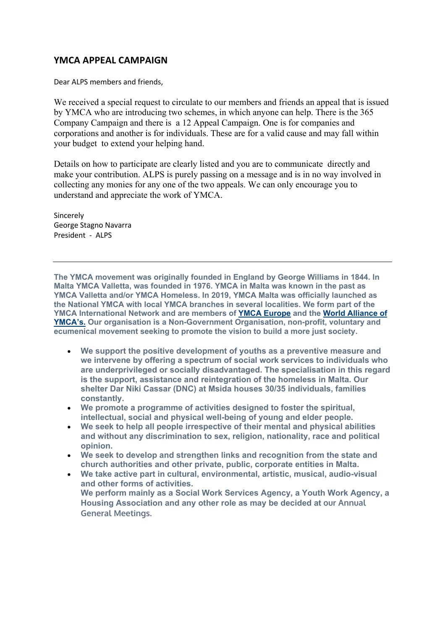## **YMCA APPEAL CAMPAIGN**

Dear ALPS members and friends,

We received a special request to circulate to our members and friends an appeal that is issued by YMCA who are introducing two schemes, in which anyone can help. There is the 365 Company Campaign and there is a 12 Appeal Campaign. One is for companies and corporations and another is for individuals. These are for a valid cause and may fall within your budget to extend your helping hand.

Details on how to participate are clearly listed and you are to communicate directly and make your contribution. ALPS is purely passing on a message and is in no way involved in collecting any monies for any one of the two appeals. We can only encourage you to understand and appreciate the work of YMCA.

Sincerely George Stagno Navarra President - ALPS

**The YMCA movement was originally founded in England by George Williams in 1844. In Malta YMCA Valletta, was founded in 1976. YMCA in Malta was known in the past as YMCA Valletta and/or YMCA Homeless. In 2019, YMCA Malta was officially launched as the National YMCA with local YMCA branches in several localities. We form part of the YMCA International Network and are members of YMCA Europe and the World Alliance of YMCA's. Our organisation is a Non-Government Organisation, non-profit, voluntary and ecumenical movement seeking to promote the vision to build a more just society.**

- **We support the positive development of youths as a preventive measure and we intervene by offering a spectrum of social work services to individuals who are underprivileged or socially disadvantaged. The specialisation in this regard is the support, assistance and reintegration of the homeless in Malta. Our shelter Dar Niki Cassar (DNC) at Msida houses 30/35 individuals, families constantly.**
- **We promote a programme of activities designed to foster the spiritual, intellectual, social and physical well-being of young and elder people.**
- **We seek to help all people irrespective of their mental and physical abilities and without any discrimination to sex, religion, nationality, race and political opinion.**
- **We seek to develop and strengthen links and recognition from the state and church authorities and other private, public, corporate entities in Malta.**
- **We take active part in cultural, environmental, artistic, musical, audio-visual and other forms of activities. We perform mainly as a Social Work Services Agency, a Youth Work Agency, a Housing Association and any other role as may be decided at our Annual General Meetings.**